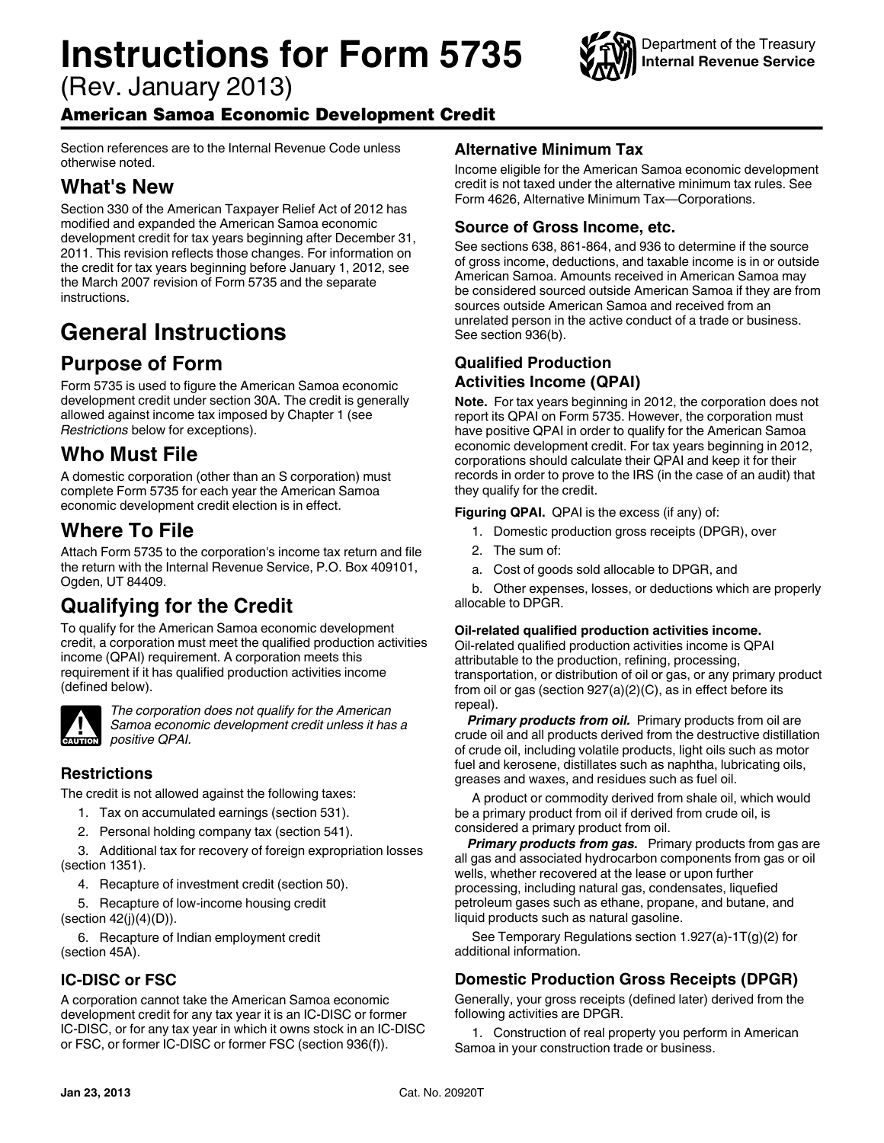# **Instructions for Form 5735**

(Rev. January 2013)



# American Samoa Economic Development Credit

Section references are to the Internal Revenue Code unless otherwise noted.

# **What's New**

Section 330 of the American Taxpayer Relief Act of 2012 has modified and expanded the American Samoa economic development credit for tax years beginning after December 31, 2011. This revision reflects those changes. For information on the credit for tax years beginning before January 1, 2012, see the March 2007 revision of Form 5735 and the separate instructions.

# **General Instructions**

# **Purpose of Form**

Form 5735 is used to figure the American Samoa economic development credit under section 30A. The credit is generally allowed against income tax imposed by Chapter 1 (see *Restrictions* below for exceptions).

# **Who Must File**

A domestic corporation (other than an S corporation) must complete Form 5735 for each year the American Samoa economic development credit election is in effect.

# **Where To File**

Attach Form 5735 to the corporation's income tax return and file the return with the Internal Revenue Service, P.O. Box 409101, Ogden, UT 84409.

# **Qualifying for the Credit**

To qualify for the American Samoa economic development credit, a corporation must meet the qualified production activities income (QPAI) requirement. A corporation meets this requirement if it has qualified production activities income (defined below).



*The corporation does not qualify for the American Samoa economic development credit unless it has a positive QPAI.*

# **Restrictions**

The credit is not allowed against the following taxes:

- 1. Tax on accumulated earnings (section 531).
- 2. Personal holding company tax (section 541).

3. Additional tax for recovery of foreign expropriation losses (section 1351).

- 4. Recapture of investment credit (section 50).
- 5. Recapture of low-income housing credit (section 42(j)(4)(D)).

6. Recapture of Indian employment credit (section 45A).

# **IC-DISC or FSC**

A corporation cannot take the American Samoa economic development credit for any tax year it is an IC-DISC or former IC-DISC, or for any tax year in which it owns stock in an IC-DISC or FSC, or former IC-DISC or former FSC (section 936(f)).

### **Alternative Minimum Tax**

Income eligible for the American Samoa economic development credit is not taxed under the alternative minimum tax rules. See Form 4626, Alternative Minimum Tax—Corporations.

## **Source of Gross Income, etc.**

See sections 638, 861-864, and 936 to determine if the source of gross income, deductions, and taxable income is in or outside American Samoa. Amounts received in American Samoa may be considered sourced outside American Samoa if they are from sources outside American Samoa and received from an unrelated person in the active conduct of a trade or business. See section 936(b).

# **Qualified Production Activities Income (QPAI)**

**Note.** For tax years beginning in 2012, the corporation does not report its QPAI on Form 5735. However, the corporation must have positive QPAI in order to qualify for the American Samoa economic development credit. For tax years beginning in 2012, corporations should calculate their QPAI and keep it for their records in order to prove to the IRS (in the case of an audit) that they qualify for the credit.

**Figuring QPAI.** QPAI is the excess (if any) of:

- 1. Domestic production gross receipts (DPGR), over
- 2. The sum of:
- a. Cost of goods sold allocable to DPGR, and

b. Other expenses, losses, or deductions which are properly allocable to DPGR.

#### **Oil-related qualified production activities income.**

Oil-related qualified production activities income is QPAI attributable to the production, refining, processing, transportation, or distribution of oil or gas, or any primary product from oil or gas (section 927(a)(2)(C), as in effect before its repeal).

**Primary products from oil.** Primary products from oil are crude oil and all products derived from the destructive distillation of crude oil, including volatile products, light oils such as motor fuel and kerosene, distillates such as naphtha, lubricating oils, greases and waxes, and residues such as fuel oil.

A product or commodity derived from shale oil, which would be a primary product from oil if derived from crude oil, is considered a primary product from oil.

**Primary products from gas.** Primary products from gas are all gas and associated hydrocarbon components from gas or oil wells, whether recovered at the lease or upon further processing, including natural gas, condensates, liquefied petroleum gases such as ethane, propane, and butane, and liquid products such as natural gasoline.

See Temporary Regulations section 1.927(a)-1T(g)(2) for additional information.

# **Domestic Production Gross Receipts (DPGR)**

Generally, your gross receipts (defined later) derived from the following activities are DPGR.

1. Construction of real property you perform in American Samoa in your construction trade or business.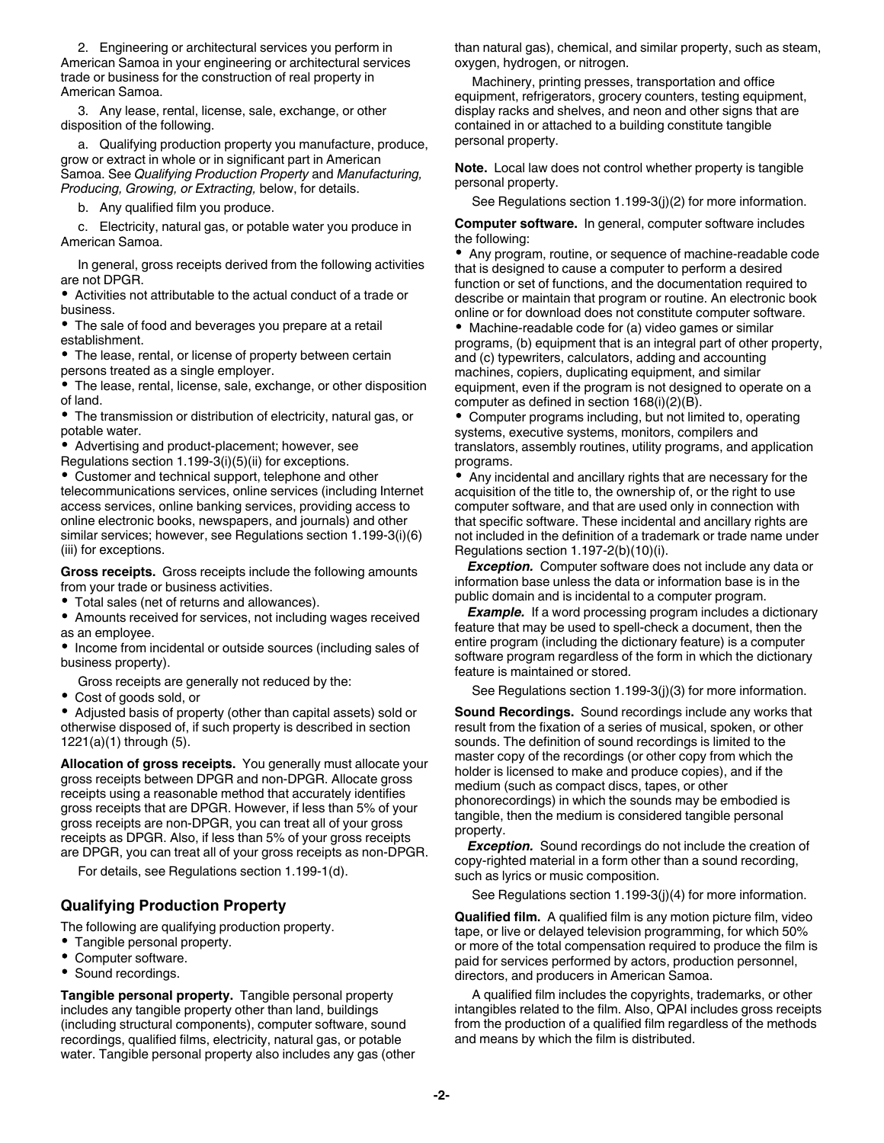2. Engineering or architectural services you perform in American Samoa in your engineering or architectural services trade or business for the construction of real property in American Samoa.

3. Any lease, rental, license, sale, exchange, or other disposition of the following.

a. Qualifying production property you manufacture, produce, grow or extract in whole or in significant part in American Samoa. See *Qualifying Production Property* and *Manufacturing, Producing, Growing, or Extracting,* below, for details.

b. Any qualified film you produce.

c. Electricity, natural gas, or potable water you produce in American Samoa.

In general, gross receipts derived from the following activities are not DPGR.

Activities not attributable to the actual conduct of a trade or business.

The sale of food and beverages you prepare at a retail establishment.

The lease, rental, or license of property between certain persons treated as a single employer.

The lease, rental, license, sale, exchange, or other disposition of land.

The transmission or distribution of electricity, natural gas, or potable water.

Advertising and product-placement; however, see Regulations section 1.199-3(i)(5)(ii) for exceptions.

Customer and technical support, telephone and other telecommunications services, online services (including Internet access services, online banking services, providing access to online electronic books, newspapers, and journals) and other similar services; however, see Regulations section 1.199-3(i)(6) (iii) for exceptions.

**Gross receipts.** Gross receipts include the following amounts from your trade or business activities.

Total sales (net of returns and allowances).

Amounts received for services, not including wages received as an employee.

 $\bullet$  Income from incidental or outside sources (including sales of business property).

Gross receipts are generally not reduced by the:

Cost of goods sold, or

Adjusted basis of property (other than capital assets) sold or otherwise disposed of, if such property is described in section 1221(a)(1) through (5).

**Allocation of gross receipts.** You generally must allocate your gross receipts between DPGR and non-DPGR. Allocate gross receipts using a reasonable method that accurately identifies gross receipts that are DPGR. However, if less than 5% of your gross receipts are non-DPGR, you can treat all of your gross receipts as DPGR. Also, if less than 5% of your gross receipts are DPGR, you can treat all of your gross receipts as non-DPGR.

For details, see Regulations section 1.199-1(d).

#### **Qualifying Production Property**

The following are qualifying production property.

- Tangible personal property.
- Computer software.
- Sound recordings.

**Tangible personal property.** Tangible personal property includes any tangible property other than land, buildings (including structural components), computer software, sound recordings, qualified films, electricity, natural gas, or potable water. Tangible personal property also includes any gas (other than natural gas), chemical, and similar property, such as steam, oxygen, hydrogen, or nitrogen.

Machinery, printing presses, transportation and office equipment, refrigerators, grocery counters, testing equipment, display racks and shelves, and neon and other signs that are contained in or attached to a building constitute tangible personal property.

**Note.** Local law does not control whether property is tangible personal property.

See Regulations section 1.199-3(j)(2) for more information.

**Computer software.** In general, computer software includes the following:

Any program, routine, or sequence of machine-readable code that is designed to cause a computer to perform a desired function or set of functions, and the documentation required to describe or maintain that program or routine. An electronic book online or for download does not constitute computer software.

Machine-readable code for (a) video games or similar programs, (b) equipment that is an integral part of other property, and (c) typewriters, calculators, adding and accounting machines, copiers, duplicating equipment, and similar equipment, even if the program is not designed to operate on a computer as defined in section 168(i)(2)(B).

• Computer programs including, but not limited to, operating systems, executive systems, monitors, compilers and translators, assembly routines, utility programs, and application programs.

Any incidental and ancillary rights that are necessary for the acquisition of the title to, the ownership of, or the right to use computer software, and that are used only in connection with that specific software. These incidental and ancillary rights are not included in the definition of a trademark or trade name under Regulations section 1.197-2(b)(10)(i).

**Exception.** Computer software does not include any data or information base unless the data or information base is in the public domain and is incidental to a computer program.

**Example.** If a word processing program includes a dictionary feature that may be used to spell-check a document, then the entire program (including the dictionary feature) is a computer software program regardless of the form in which the dictionary feature is maintained or stored.

See Regulations section 1.199-3(j)(3) for more information.

**Sound Recordings.** Sound recordings include any works that result from the fixation of a series of musical, spoken, or other sounds. The definition of sound recordings is limited to the master copy of the recordings (or other copy from which the holder is licensed to make and produce copies), and if the medium (such as compact discs, tapes, or other phonorecordings) in which the sounds may be embodied is tangible, then the medium is considered tangible personal property.

**Exception.** Sound recordings do not include the creation of copy-righted material in a form other than a sound recording, such as lyrics or music composition.

See Regulations section 1.199-3(j)(4) for more information.

**Qualified film.** A qualified film is any motion picture film, video tape, or live or delayed television programming, for which 50% or more of the total compensation required to produce the film is paid for services performed by actors, production personnel, directors, and producers in American Samoa.

A qualified film includes the copyrights, trademarks, or other intangibles related to the film. Also, QPAI includes gross receipts from the production of a qualified film regardless of the methods and means by which the film is distributed.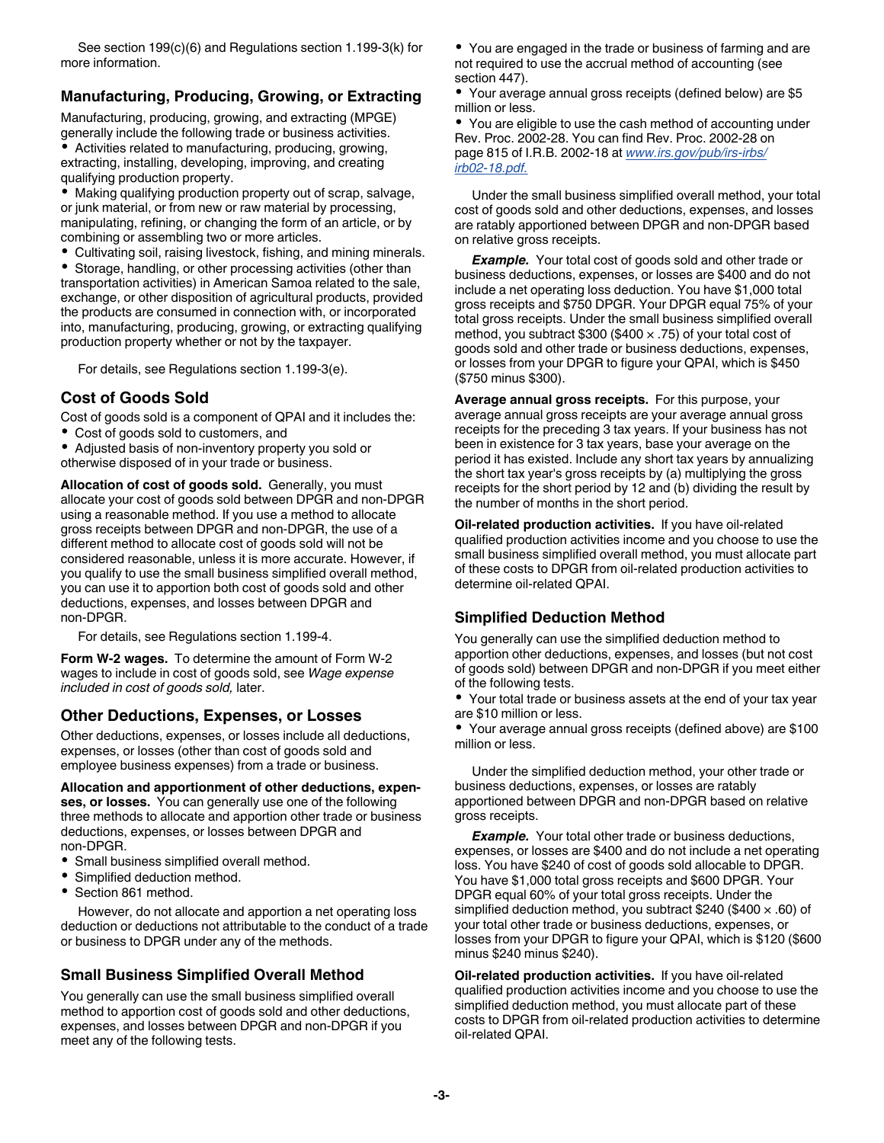See section 199(c)(6) and Regulations section 1.199-3(k) for more information.

## **Manufacturing, Producing, Growing, or Extracting**

Manufacturing, producing, growing, and extracting (MPGE) generally include the following trade or business activities.

Activities related to manufacturing, producing, growing, extracting, installing, developing, improving, and creating qualifying production property.

Making qualifying production property out of scrap, salvage, or junk material, or from new or raw material by processing, manipulating, refining, or changing the form of an article, or by combining or assembling two or more articles.

Cultivating soil, raising livestock, fishing, and mining minerals.

Storage, handling, or other processing activities (other than transportation activities) in American Samoa related to the sale, exchange, or other disposition of agricultural products, provided the products are consumed in connection with, or incorporated into, manufacturing, producing, growing, or extracting qualifying production property whether or not by the taxpayer.

For details, see Regulations section 1.199-3(e).

## **Cost of Goods Sold**

Cost of goods sold is a component of QPAI and it includes the:

- Cost of goods sold to customers, and
- Adjusted basis of non-inventory property you sold or otherwise disposed of in your trade or business.

**Allocation of cost of goods sold.** Generally, you must allocate your cost of goods sold between DPGR and non-DPGR using a reasonable method. If you use a method to allocate gross receipts between DPGR and non-DPGR, the use of a different method to allocate cost of goods sold will not be considered reasonable, unless it is more accurate. However, if you qualify to use the small business simplified overall method, you can use it to apportion both cost of goods sold and other deductions, expenses, and losses between DPGR and non-DPGR.

For details, see Regulations section 1.199-4.

**Form W-2 wages.** To determine the amount of Form W-2 wages to include in cost of goods sold, see *Wage expense included in cost of goods sold,* later.

#### **Other Deductions, Expenses, or Losses**

Other deductions, expenses, or losses include all deductions, expenses, or losses (other than cost of goods sold and employee business expenses) from a trade or business.

**Allocation and apportionment of other deductions, expenses, or losses.** You can generally use one of the following three methods to allocate and apportion other trade or business deductions, expenses, or losses between DPGR and non-DPGR.

- Small business simplified overall method.
- Simplified deduction method.
- Section 861 method.

However, do not allocate and apportion a net operating loss deduction or deductions not attributable to the conduct of a trade or business to DPGR under any of the methods.

#### **Small Business Simplified Overall Method**

You generally can use the small business simplified overall method to apportion cost of goods sold and other deductions, expenses, and losses between DPGR and non-DPGR if you meet any of the following tests.

You are engaged in the trade or business of farming and are not required to use the accrual method of accounting (see section 447).

Your average annual gross receipts (defined below) are \$5 million or less.

You are eligible to use the cash method of accounting under Rev. Proc. 2002-28. You can find Rev. Proc. 2002-28 on page 815 of I.R.B. 2002-18 at *[www.irs.gov/pub/irs-irbs/](http://www.irs.gov/pub/irs-irbs/irb02-18.pdf) [irb02-18.pdf.](http://www.irs.gov/pub/irs-irbs/irb02-18.pdf)*

Under the small business simplified overall method, your total cost of goods sold and other deductions, expenses, and losses are ratably apportioned between DPGR and non-DPGR based on relative gross receipts.

*Example.* Your total cost of goods sold and other trade or business deductions, expenses, or losses are \$400 and do not include a net operating loss deduction. You have \$1,000 total gross receipts and \$750 DPGR. Your DPGR equal 75% of your total gross receipts. Under the small business simplified overall method, you subtract \$300 (\$400  $\times$  .75) of your total cost of goods sold and other trade or business deductions, expenses, or losses from your DPGR to figure your QPAI, which is \$450 (\$750 minus \$300).

**Average annual gross receipts.** For this purpose, your average annual gross receipts are your average annual gross receipts for the preceding 3 tax years. If your business has not been in existence for 3 tax years, base your average on the period it has existed. Include any short tax years by annualizing the short tax year's gross receipts by (a) multiplying the gross receipts for the short period by 12 and (b) dividing the result by the number of months in the short period.

**Oil-related production activities.** If you have oil-related qualified production activities income and you choose to use the small business simplified overall method, you must allocate part of these costs to DPGR from oil-related production activities to determine oil-related QPAI.

#### **Simplified Deduction Method**

You generally can use the simplified deduction method to apportion other deductions, expenses, and losses (but not cost of goods sold) between DPGR and non-DPGR if you meet either of the following tests.

Your total trade or business assets at the end of your tax year are \$10 million or less.

Your average annual gross receipts (defined above) are \$100 million or less.

Under the simplified deduction method, your other trade or business deductions, expenses, or losses are ratably apportioned between DPGR and non-DPGR based on relative gross receipts.

**Example.** Your total other trade or business deductions, expenses, or losses are \$400 and do not include a net operating loss. You have \$240 of cost of goods sold allocable to DPGR. You have \$1,000 total gross receipts and \$600 DPGR. Your DPGR equal 60% of your total gross receipts. Under the simplified deduction method, you subtract \$240 (\$400  $\times$  .60) of your total other trade or business deductions, expenses, or losses from your DPGR to figure your QPAI, which is \$120 (\$600 minus \$240 minus \$240).

**Oil-related production activities.** If you have oil-related qualified production activities income and you choose to use the simplified deduction method, you must allocate part of these costs to DPGR from oil-related production activities to determine oil-related QPAI.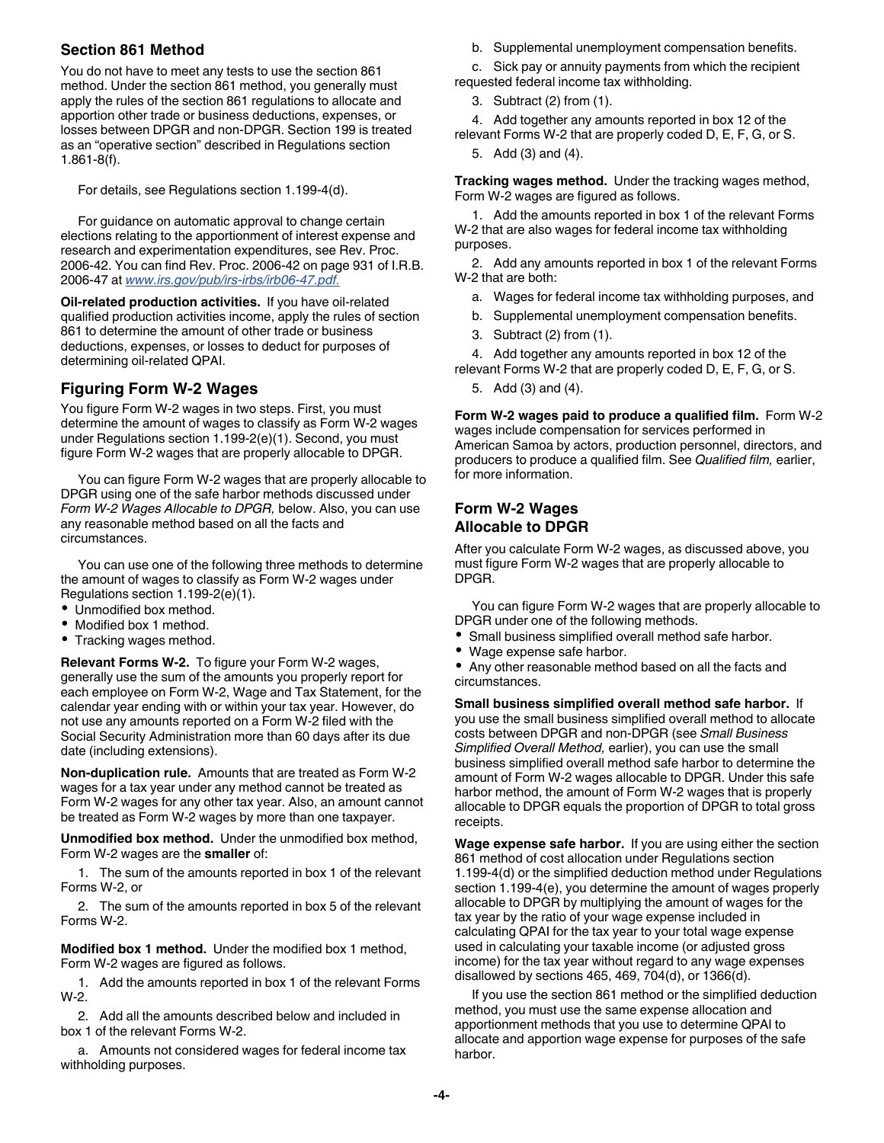#### **Section 861 Method**

You do not have to meet any tests to use the section 861 method. Under the section 861 method, you generally must apply the rules of the section 861 regulations to allocate and apportion other trade or business deductions, expenses, or losses between DPGR and non-DPGR. Section 199 is treated as an "operative section" described in Regulations section 1.861-8(f).

For details, see Regulations section 1.199-4(d).

For guidance on automatic approval to change certain elections relating to the apportionment of interest expense and research and experimentation expenditures, see Rev. Proc. 2006-42. You can find Rev. Proc. 2006-42 on page 931 of I.R.B. 2006-47 at *[www.irs.gov/pub/irs-irbs/irb06-47.pdf.](http://www.irs.gov/pub/irs-irbs/irb06-47.pdf)*

**Oil-related production activities.** If you have oil-related qualified production activities income, apply the rules of section 861 to determine the amount of other trade or business deductions, expenses, or losses to deduct for purposes of determining oil-related QPAI.

## **Figuring Form W-2 Wages**

You figure Form W-2 wages in two steps. First, you must determine the amount of wages to classify as Form W-2 wages under Regulations section 1.199-2(e)(1). Second, you must figure Form W-2 wages that are properly allocable to DPGR.

You can figure Form W-2 wages that are properly allocable to DPGR using one of the safe harbor methods discussed under *Form W-2 Wages Allocable to DPGR,* below. Also, you can use any reasonable method based on all the facts and circumstances.

You can use one of the following three methods to determine the amount of wages to classify as Form W-2 wages under Regulations section 1.199-2(e)(1).

- Unmodified box method.
- Modified box 1 method.
- Tracking wages method.

**Relevant Forms W-2.** To figure your Form W-2 wages, generally use the sum of the amounts you properly report for each employee on Form W-2, Wage and Tax Statement, for the calendar year ending with or within your tax year. However, do not use any amounts reported on a Form W-2 filed with the Social Security Administration more than 60 days after its due date (including extensions).

**Non-duplication rule.** Amounts that are treated as Form W-2 wages for a tax year under any method cannot be treated as Form W-2 wages for any other tax year. Also, an amount cannot be treated as Form W-2 wages by more than one taxpayer.

**Unmodified box method.** Under the unmodified box method, Form W-2 wages are the **smaller** of:

1. The sum of the amounts reported in box 1 of the relevant Forms W-2, or

2. The sum of the amounts reported in box 5 of the relevant Forms W-2.

**Modified box 1 method.** Under the modified box 1 method, Form W-2 wages are figured as follows.

1. Add the amounts reported in box 1 of the relevant Forms W-2.

2. Add all the amounts described below and included in box 1 of the relevant Forms W-2.

a. Amounts not considered wages for federal income tax withholding purposes.

b. Supplemental unemployment compensation benefits.

c. Sick pay or annuity payments from which the recipient requested federal income tax withholding.

3. Subtract (2) from (1).

4. Add together any amounts reported in box 12 of the relevant Forms W-2 that are properly coded D, E, F, G, or S.

5. Add (3) and (4).

**Tracking wages method.** Under the tracking wages method, Form W-2 wages are figured as follows.

1. Add the amounts reported in box 1 of the relevant Forms W-2 that are also wages for federal income tax withholding purposes.

2. Add any amounts reported in box 1 of the relevant Forms W-2 that are both:

- a. Wages for federal income tax withholding purposes, and
- b. Supplemental unemployment compensation benefits.
- 3. Subtract (2) from (1).

4. Add together any amounts reported in box 12 of the relevant Forms W-2 that are properly coded D, E, F, G, or S.

5. Add (3) and (4).

**Form W-2 wages paid to produce a qualified film.** Form W-2 wages include compensation for services performed in American Samoa by actors, production personnel, directors, and producers to produce a qualified film. See *Qualified film,* earlier, for more information.

## **Form W-2 Wages Allocable to DPGR**

After you calculate Form W-2 wages, as discussed above, you must figure Form W-2 wages that are properly allocable to DPGR.

You can figure Form W-2 wages that are properly allocable to DPGR under one of the following methods.

- Small business simplified overall method safe harbor.
- Wage expense safe harbor.

Any other reasonable method based on all the facts and circumstances.

**Small business simplified overall method safe harbor.** If you use the small business simplified overall method to allocate costs between DPGR and non-DPGR (see *Small Business Simplified Overall Method,* earlier), you can use the small business simplified overall method safe harbor to determine the amount of Form W-2 wages allocable to DPGR. Under this safe harbor method, the amount of Form W-2 wages that is properly allocable to DPGR equals the proportion of DPGR to total gross receipts.

**Wage expense safe harbor.** If you are using either the section 861 method of cost allocation under Regulations section 1.199-4(d) or the simplified deduction method under Regulations section 1.199-4(e), you determine the amount of wages properly allocable to DPGR by multiplying the amount of wages for the tax year by the ratio of your wage expense included in calculating QPAI for the tax year to your total wage expense used in calculating your taxable income (or adjusted gross income) for the tax year without regard to any wage expenses disallowed by sections 465, 469, 704(d), or 1366(d).

If you use the section 861 method or the simplified deduction method, you must use the same expense allocation and apportionment methods that you use to determine QPAI to allocate and apportion wage expense for purposes of the safe harbor.